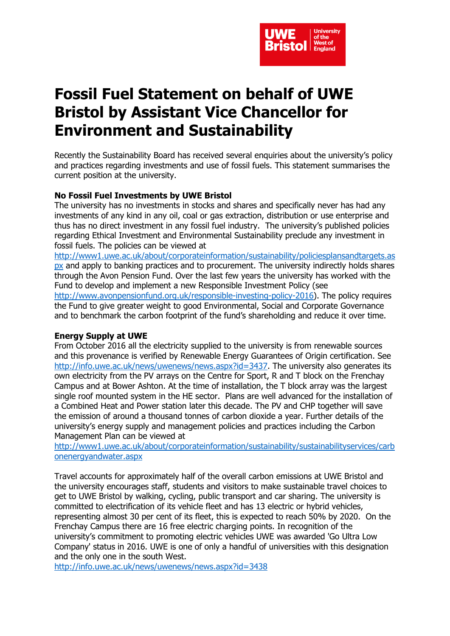

## **Fossil Fuel Statement on behalf of UWE Bristol by Assistant Vice Chancellor for Environment and Sustainability**

Recently the Sustainability Board has received several enquiries about the university's policy and practices regarding investments and use of fossil fuels. This statement summarises the current position at the university.

## **No Fossil Fuel Investments by UWE Bristol**

The university has no investments in stocks and shares and specifically never has had any investments of any kind in any oil, coal or gas extraction, distribution or use enterprise and thus has no direct investment in any fossil fuel industry. The university's published policies regarding Ethical Investment and Environmental Sustainability preclude any investment in fossil fuels. The policies can be viewed at

[http://www1.uwe.ac.uk/about/corporateinformation/sustainability/policiesplansandtargets.as](http://www1.uwe.ac.uk/about/corporateinformation/sustainability/policiesplansandtargets.aspx) [px](http://www1.uwe.ac.uk/about/corporateinformation/sustainability/policiesplansandtargets.aspx) and apply to banking practices and to procurement. The university indirectly holds shares through the Avon Pension Fund. Over the last few years the university has worked with the Fund to develop and implement a new Responsible Investment Policy (see [http://www.avonpensionfund.org.uk/responsible-investing-policy-2016\)](http://www.avonpensionfund.org.uk/responsible-investing-policy-2016). The policy requires the Fund to give greater weight to good Environmental, Social and Corporate Governance and to benchmark the carbon footprint of the fund's shareholding and reduce it over time.

## **Energy Supply at UWE**

From October 2016 all the electricity supplied to the university is from renewable sources and this provenance is verified by Renewable Energy Guarantees of Origin certification. See [http://info.uwe.ac.uk/news/uwenews/news.aspx?id=3437.](http://info.uwe.ac.uk/news/uwenews/news.aspx?id=3437) The university also generates its own electricity from the PV arrays on the Centre for Sport, R and T block on the Frenchay Campus and at Bower Ashton. At the time of installation, the T block array was the largest single roof mounted system in the HE sector. Plans are well advanced for the installation of a Combined Heat and Power station later this decade. The PV and CHP together will save the emission of around a thousand tonnes of carbon dioxide a year. Further details of the university's energy supply and management policies and practices including the Carbon Management Plan can be viewed at

[http://www1.uwe.ac.uk/about/corporateinformation/sustainability/sustainabilityservices/carb](http://www1.uwe.ac.uk/about/corporateinformation/sustainability/sustainabilityservices/carbonenergyandwater.aspx) [onenergyandwater.aspx](http://www1.uwe.ac.uk/about/corporateinformation/sustainability/sustainabilityservices/carbonenergyandwater.aspx)

Travel accounts for approximately half of the overall carbon emissions at UWE Bristol and the university encourages staff, students and visitors to make sustainable travel choices to get to UWE Bristol by walking, cycling, public transport and car sharing. The university is committed to electrification of its vehicle fleet and has 13 electric or hybrid vehicles, representing almost 30 per cent of its fleet, this is expected to reach 50% by 2020. On the Frenchay Campus there are 16 free electric charging points. In recognition of the university's commitment to promoting electric vehicles UWE was awarded 'Go Ultra Low Company' status in 2016. UWE is one of only a handful of universities with this designation and the only one in the south West.

<http://info.uwe.ac.uk/news/uwenews/news.aspx?id=3438>